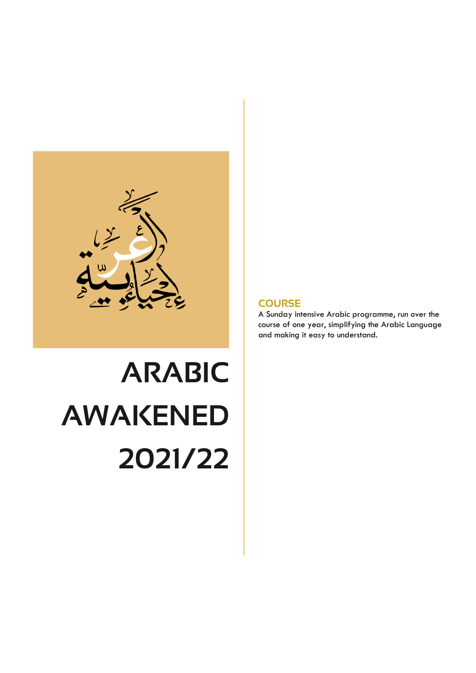

# **ARABIC AWAKENED 2021/22**

#### **COURSE**

A Sunday intensive Arabic programme, run over the course of one year, simplifying the Arabic Language and making it easy to understand.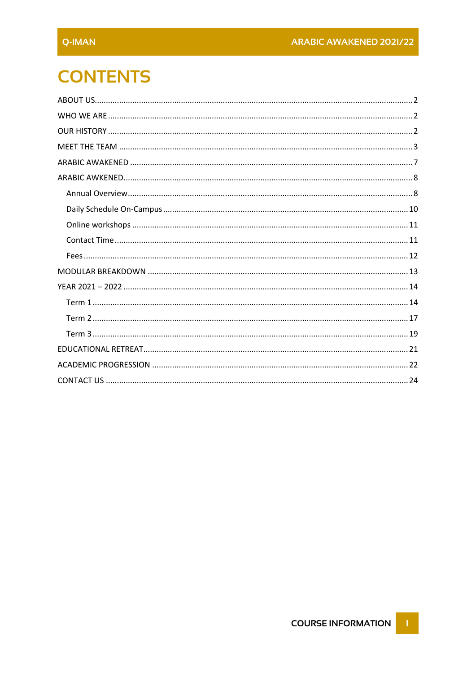# **CONTENTS**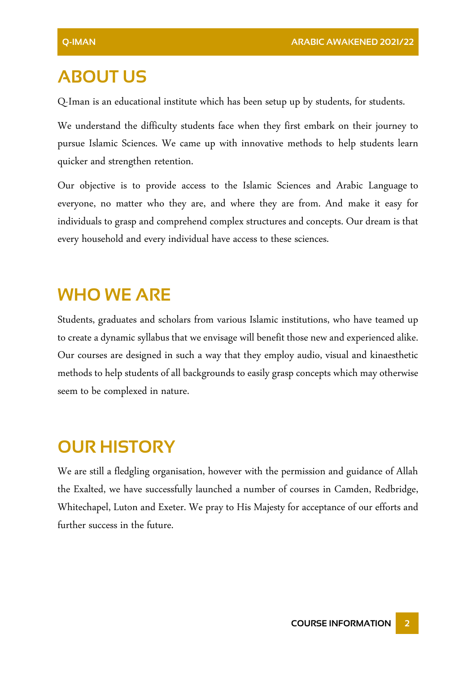# <span id="page-2-0"></span>**ABOUT US**

Q-Iman is an educational institute which has been setup up by students, for students.

We understand the difficulty students face when they first embark on their journey to pursue Islamic Sciences. We came up with innovative methods to help students learn quicker and strengthen retention.

Our objective is to provide access to the Islamic Sciences and Arabic Language to everyone, no matter who they are, and where they are from. And make it easy for individuals to grasp and comprehend complex structures and concepts. Our dream is that every household and every individual have access to these sciences.

## <span id="page-2-1"></span>**WHO WE ARE**

Students, graduates and scholars from various Islamic institutions, who have teamed up to create a dynamic syllabus that we envisage will benefit those new and experienced alike. Our courses are designed in such a way that they employ audio, visual and kinaesthetic methods to help students of all backgrounds to easily grasp concepts which may otherwise seem to be complexed in nature.

# <span id="page-2-2"></span>**OUR HISTORY**

We are still a fledgling organisation, however with the permission and guidance of Allah the Exalted, we have successfully launched a number of courses in Camden, Redbridge, Whitechapel, Luton and Exeter. We pray to His Majesty for acceptance of our efforts and further success in the future.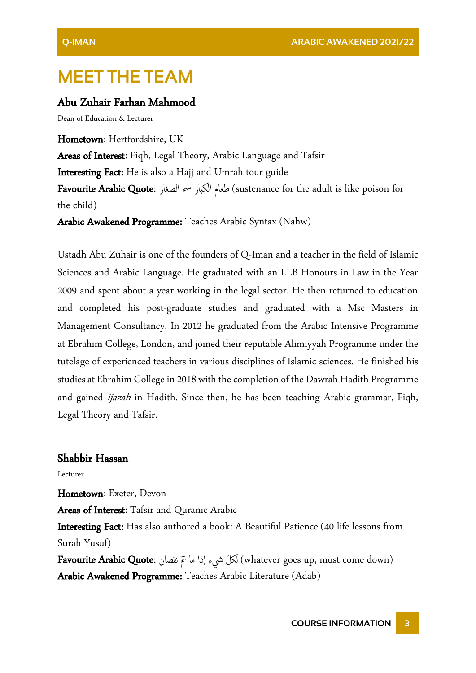## <span id="page-3-0"></span>**MEET THE TEAM**

#### Abu Zuhair Farhan Mahmood

Dean of Education & Lecturer

Hometown: Hertfordshire, UK Areas of Interest: Fiqh, Legal Theory, Arabic Language and Tafsir Interesting Fact: He is also a Hajj and Umrah tour guide Favourite Arabic Quote: الصغار مس الكبار طعام) sustenance for the adult is like poison for the child) Arabic Awakened Programme: Teaches Arabic Syntax (Nahw)

Ustadh Abu Zuhair is one of the founders of Q-Iman and a teacher in the field of Islamic Sciences and Arabic Language. He graduated with an LLB Honours in Law in the Year 2009 and spent about a year working in the legal sector. He then returned to education and completed his post-graduate studies and graduated with a Msc Masters in Management Consultancy. In 2012 he graduated from the Arabic Intensive Programme at Ebrahim College, London, and joined their reputable Alimiyyah Programme under the tutelage of experienced teachers in various disciplines of Islamic sciences. He finished his studies at Ebrahim College in 2018 with the completion of the Dawrah Hadith Programme and gained *ijazah* in Hadith. Since then, he has been teaching Arabic grammar, Fiqh, Legal Theory and Tafsir.

#### Shabbir Hassan

Lecturer

Hometown: Exeter, Devon Areas of Interest: Tafsir and Quranic Arabic Interesting Fact: Has also authored a book: A Beautiful Patience (40 life lessons from Surah Yusuf)

Favourite Arabic Quote: نقصان متّ ما اذا يشء لكّ ل) whatever goes up, must come down) Arabic Awakened Programme: Teaches Arabic Literature (Adab)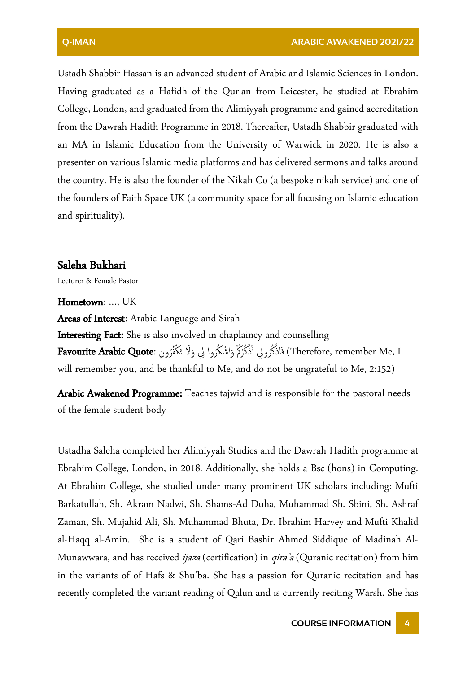Ustadh Shabbir Hassan is an advanced student of Arabic and Islamic Sciences in London. Having graduated as a Hafidh of the Qur'an from Leicester, he studied at Ebrahim College, London, and graduated from the Alimiyyah programme and gained accreditation from the Dawrah Hadith Programme in 2018. Thereafter, Ustadh Shabbir graduated with an MA in Islamic Education from the University of Warwick in 2020. He is also a presenter on various Islamic media platforms and has delivered sermons and talks around the country. He is also the founder of the Nikah Co (a bespoke nikah service) and one of the founders of Faith Space UK (a community space for all focusing on Islamic education and spirituality).

#### Saleha Bukhari

Lecturer & Female Pastor

#### Hometown: …, UK

Areas of Interest: Arabic Language and Sirah Interesting Fact: She is also involved in chaplaincy and counselling Therefore, remember Me, I) فَاذْكُرُونِي أَذْكُرُكُمْ وَاشْكُرُوا لِي وَلَا تَكْفُرُونِ :**Favourite Arabic Quote**  $\frac{1}{2}$ َ َ **ٔ** <u>ٔ</u> will remember you, and be thankful to Me, and do not be ungrateful to Me, 2:152)

Arabic Awakened Programme: Teaches tajwid and is responsible for the pastoral needs of the female student body

Ustadha Saleha completed her Alimiyyah Studies and the Dawrah Hadith programme at Ebrahim College, London, in 2018. Additionally, she holds a Bsc (hons) in Computing. At Ebrahim College, she studied under many prominent UK scholars including: Mufti Barkatullah, Sh. Akram Nadwi, Sh. Shams-Ad Duha, Muhammad Sh. Sbini, Sh. Ashraf Zaman, Sh. Mujahid Ali, Sh. Muhammad Bhuta, Dr. Ibrahim Harvey and Mufti Khalid al-Haqq al-Amin. She is a student of Qari Bashir Ahmed Siddique of Madinah Al-Munawwara, and has received *ijaza* (certification) in *qira'a* (Quranic recitation) from him in the variants of of Hafs & Shu'ba. She has a passion for Quranic recitation and has recently completed the variant reading of Qalun and is currently reciting Warsh. She has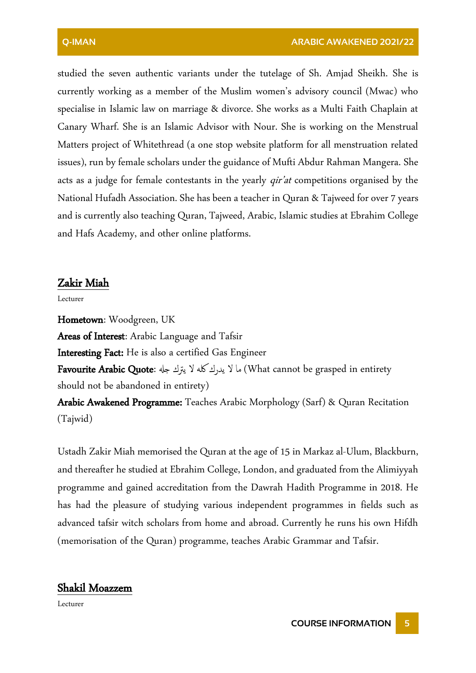studied the seven authentic variants under the tutelage of Sh. Amjad Sheikh. She is currently working as a member of the Muslim women's advisory council (Mwac) who specialise in Islamic law on marriage & divorce. She works as a Multi Faith Chaplain at Canary Wharf. She is an Islamic Advisor with Nour. She is working on the Menstrual Matters project of Whitethread (a one stop website platform for all menstruation related issues), run by female scholars under the guidance of Mufti Abdur Rahman Mangera. She acts as a judge for female contestants in the yearly *qir'at* competitions organised by the National Hufadh Association.She has been a teacher in Quran & Tajweed for over 7 years and is currently also teaching Quran, Tajweed, Arabic, Islamic studies at Ebrahim College and Hafs Academy, and other online platforms.

#### Zakir Miah

Lecturer

Hometown: Woodgreen, UK Areas of Interest: Arabic Language and Tafsir **Interesting Fact:** He is also a certified Gas Engineer Favourite Arabic Quote: ما لا يدرك كله لا يترك جله ) What cannot be grasped in entirety should not be abandoned in entirety) Arabic Awakened Programme: Teaches Arabic Morphology (Sarf) & Quran Recitation (Tajwid)

Ustadh Zakir Miah memorised the Quran at the age of 15 in Markaz al-Ulum, Blackburn, and thereafter he studied at Ebrahim College, London, and graduated from the Alimiyyah programme and gained accreditation from the Dawrah Hadith Programme in 2018. He has had the pleasure of studying various independent programmes in fields such as advanced tafsir witch scholars from home and abroad. Currently he runs his own Hifdh (memorisation of the Quran) programme, teaches Arabic Grammar and Tafsir.

#### Shakil Moazzem

Lecturer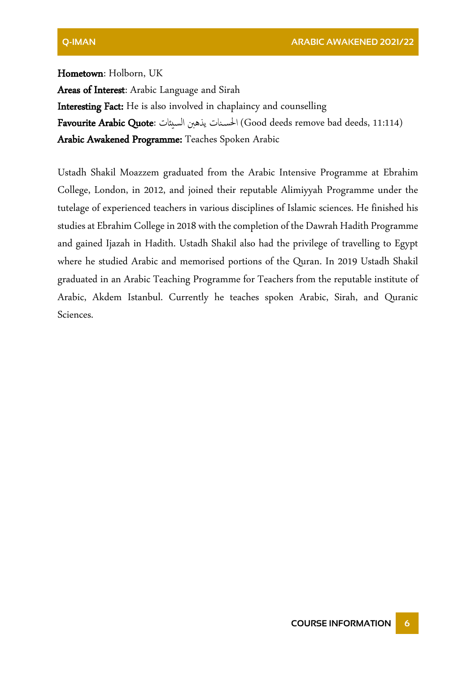Hometown: Holborn, UK Areas of Interest: Arabic Language and Sirah Interesting Fact: He is also involved in chaplaincy and counselling Favourite Arabic Quote: السيئات يذهنب نات احلس) Good deeds remove bad deeds, 11:114) Arabic Awakened Programme: Teaches Spoken Arabic

Ustadh Shakil Moazzem graduated from the Arabic Intensive Programme at Ebrahim College, London, in 2012, and joined their reputable Alimiyyah Programme under the tutelage of experienced teachers in various disciplines of Islamic sciences. He finished his studies at Ebrahim College in 2018 with the completion of the Dawrah Hadith Programme and gained Ijazah in Hadith. Ustadh Shakil also had the privilege of travelling to Egypt where he studied Arabic and memorised portions of the Quran. In 2019 Ustadh Shakil graduated in an Arabic Teaching Programme for Teachers from the reputable institute of Arabic, Akdem Istanbul. Currently he teaches spoken Arabic, Sirah, and Quranic Sciences.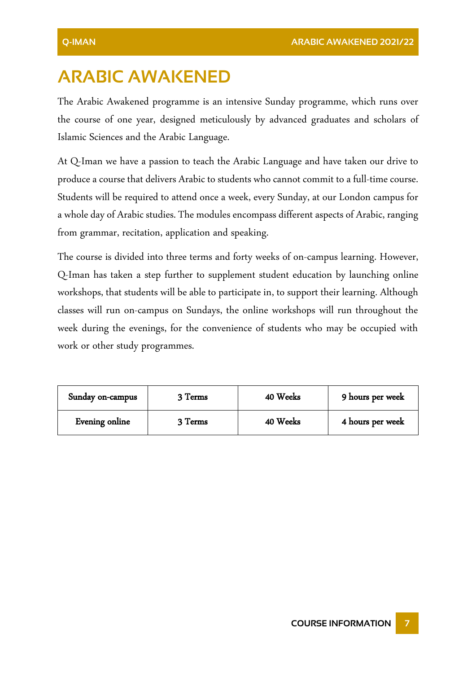# <span id="page-7-0"></span>**ARABIC AWAKENED**

The Arabic Awakened programme is an intensive Sunday programme, which runs over the course of one year, designed meticulously by advanced graduates and scholars of Islamic Sciences and the Arabic Language.

At Q-Iman we have a passion to teach the Arabic Language and have taken our drive to produce a course that delivers Arabic to students who cannot commit to a full-time course. Students will be required to attend once a week, every Sunday, at our London campus for a whole day of Arabic studies. The modules encompass different aspects of Arabic, ranging from grammar, recitation, application and speaking.

The course is divided into three terms and forty weeks of on-campus learning. However, Q-Iman has taken a step further to supplement student education by launching online workshops, that students will be able to participate in, to support their learning. Although classes will run on-campus on Sundays, the online workshops will run throughout the week during the evenings, for the convenience of students who may be occupied with work or other study programmes.

| Sunday on-campus | 3 Terms | 40 Weeks | 9 hours per week |
|------------------|---------|----------|------------------|
| Evening online   | 3 Terms | 40 Weeks | 4 hours per week |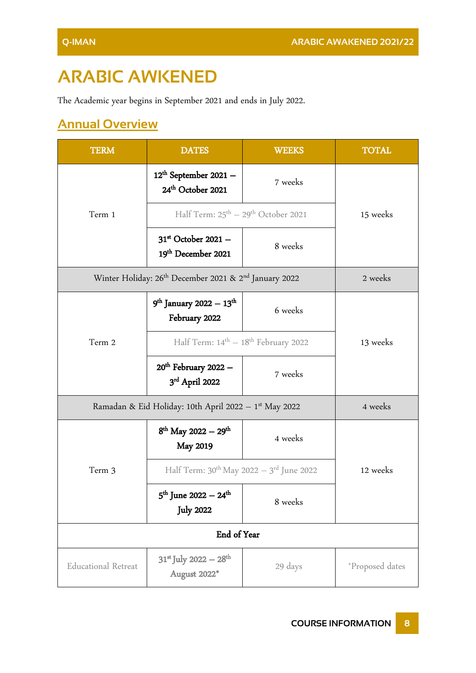# <span id="page-8-0"></span>**ARABIC AWKENED**

The Academic year begins in September 2021 and ends in July 2022.

## <span id="page-8-1"></span>**Annual Overview**

| <b>TERM</b>                                           | <b>DATES</b>                                                                  | <b>WEEKS</b> | <b>TOTAL</b>    |
|-------------------------------------------------------|-------------------------------------------------------------------------------|--------------|-----------------|
|                                                       | $12^{\text{th}}$ September 2021 -<br>24 <sup>th</sup> October 2021            | 7 weeks      |                 |
| Term 1                                                | Half Term: 25 <sup>th</sup> - 29 <sup>th</sup> October 2021                   |              | 15 weeks        |
|                                                       | $31st$ October 2021 -<br>19th December 2021                                   | 8 weeks      |                 |
|                                                       | Winter Holiday: 26 <sup>th</sup> December 2021 & 2 <sup>nd</sup> January 2022 |              | 2 weeks         |
|                                                       | $9th$ January 2022 – 13 <sup>th</sup><br>February 2022                        | 6 weeks      |                 |
| Term 2                                                | Half Term: $14^{\text{th}} - 18^{\text{th}}$ February 2022                    |              | 13 weeks        |
|                                                       | $20th$ February 2022 $-$<br>3rd April 2022                                    | 7 weeks      |                 |
| Ramadan & Eid Holiday: 10th April 2022 - 1st May 2022 | 4 weeks                                                                       |              |                 |
|                                                       | $8^{th}$ May 2022 - 29 <sup>th</sup><br><b>May 2019</b>                       | 4 weeks      |                 |
| Term 3                                                | Half Term: 30 <sup>th</sup> May 2022 - 3 <sup>rd</sup> June 2022              |              | 12 weeks        |
|                                                       | $5^{\text{th}}$ June 2022 – 24 <sup>th</sup><br><b>July 2022</b>              | 8 weeks      |                 |
| End of Year                                           |                                                                               |              |                 |
| <b>Educational Retreat</b>                            | $31^{st}$ July 2022 – 28 <sup>th</sup><br>August 2022*                        | 29 days      | *Proposed dates |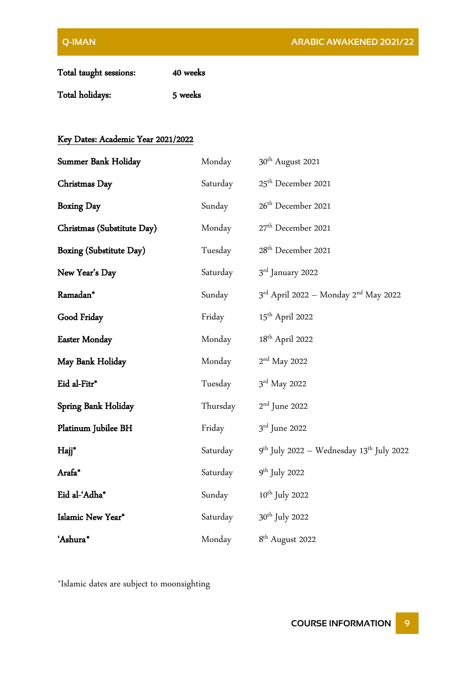| Total taught sessions: | 40 weeks |
|------------------------|----------|
| Total holidays:        | 5 weeks  |

#### Key Dates: Academic Year 2021/2022

| Summer Bank Holiday        | Monday   | 30 <sup>th</sup> August 2021                                 |
|----------------------------|----------|--------------------------------------------------------------|
| Christmas Day              | Saturday | 25 <sup>th</sup> December 2021                               |
| <b>Boxing Day</b>          | Sunday   | 26 <sup>th</sup> December 2021                               |
| Christmas (Substitute Day) | Monday   | 27 <sup>th</sup> December 2021                               |
| Boxing (Substitute Day)    | Tuesday  | 28 <sup>th</sup> December 2021                               |
| New Year's Day             | Saturday | 3rd January 2022                                             |
| Ramadan*                   | Sunday   | $3^{\text{rd}}$ April 2022 - Monday 2 <sup>nd</sup> May 2022 |
| Good Friday                | Friday   | 15 <sup>th</sup> April 2022                                  |
| <b>Easter Monday</b>       | Monday   | 18 <sup>th</sup> April 2022                                  |
| May Bank Holiday           | Monday   | $2nd$ May 2022                                               |
| Eid al-Fitr*               | Tuesday  | $3rd$ May 2022                                               |
| Spring Bank Holiday        | Thursday | $2nd$ June 2022                                              |
| Platinum Jubilee BH        | Friday   | 3rd June 2022                                                |
| Hajj*                      | Saturday | $9th$ July 2022 – Wednesday 13 <sup>th</sup> July 2022       |
| Arafa*                     | Saturday | $9^{th}$ July 2022                                           |
| Eid al-'Adha*              | Sunday   | $10^{\rm th}$ July 2022                                      |
| Islamic New Year*          | Saturday | 30 <sup>th</sup> July 2022                                   |
| 'Ashura*                   | Monday   | 8 <sup>th</sup> August 2022                                  |

\*Islamic dates are subject to moonsighting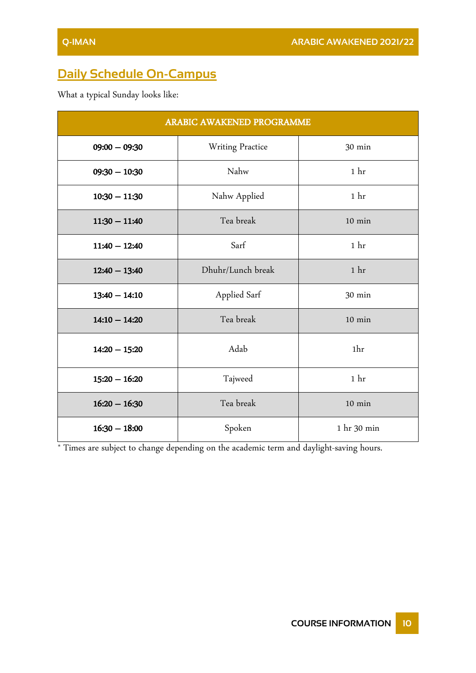## <span id="page-10-0"></span>**Daily Schedule On-Campus**

What a typical Sunday looks like:

| ARABIC AWAKENED PROGRAMME |                   |                  |  |
|---------------------------|-------------------|------------------|--|
| $09:00 - 09:30$           | Writing Practice  | 30 min           |  |
| $09:30 - 10:30$           | Nahw              | 1 <sub>hr</sub>  |  |
| $10:30 - 11:30$           | Nahw Applied      | 1 <sub>hr</sub>  |  |
| $11:30 - 11:40$           | Tea break         | $10$ min         |  |
| $11:40 - 12:40$           | Sarf              | 1 <sub>hr</sub>  |  |
| $12:40 - 13:40$           | Dhuhr/Lunch break | 1 <sup>hr</sup>  |  |
| $13:40 - 14:10$           | Applied Sarf      | 30 min           |  |
| $14:10 - 14:20$           | Tea break         | $10$ min         |  |
| $14:20 - 15:20$           | Adab              | 1hr              |  |
| $15:20 - 16:20$           | Tajweed           | 1 <sub>hr</sub>  |  |
| $16:20 - 16:30$           | Tea break         | $10 \text{ min}$ |  |
| $16:30 - 18:00$           | Spoken            | 1 hr 30 min      |  |

\* Times are subject to change depending on the academic term and daylight-saving hours.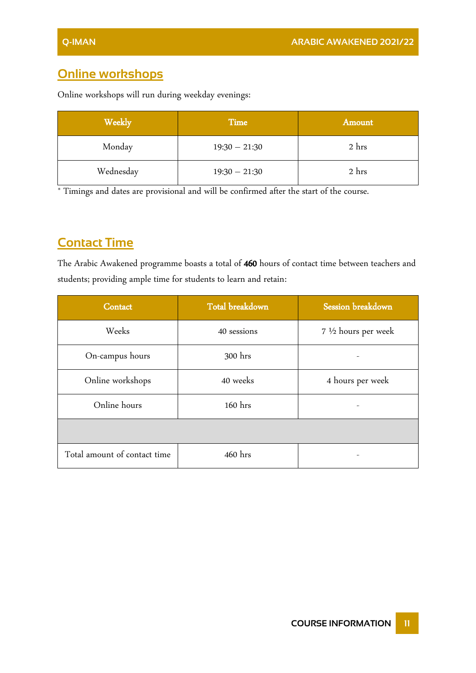### <span id="page-11-0"></span>**Online workshops**

Online workshops will run during weekday evenings:

| Weekly    | Time            | Amount |
|-----------|-----------------|--------|
| Monday    | $19:30 - 21:30$ | 2 hrs  |
| Wednesday | $19:30 - 21:30$ | 2 hrs  |

\* Timings and dates are provisional and will be confirmed after the start of the course.

## <span id="page-11-1"></span>**Contact Time**

The Arabic Awakened programme boasts a total of 460 hours of contact time between teachers and students; providing ample time for students to learn and retain:

| Contact                      | Total breakdown | Session breakdown    |
|------------------------------|-----------------|----------------------|
| Weeks                        | 40 sessions     | 7 1/2 hours per week |
| On-campus hours              | 300 hrs         |                      |
| Online workshops             | 40 weeks        | 4 hours per week     |
| Online hours                 | 160 hrs         |                      |
|                              |                 |                      |
| Total amount of contact time | 460 hrs         |                      |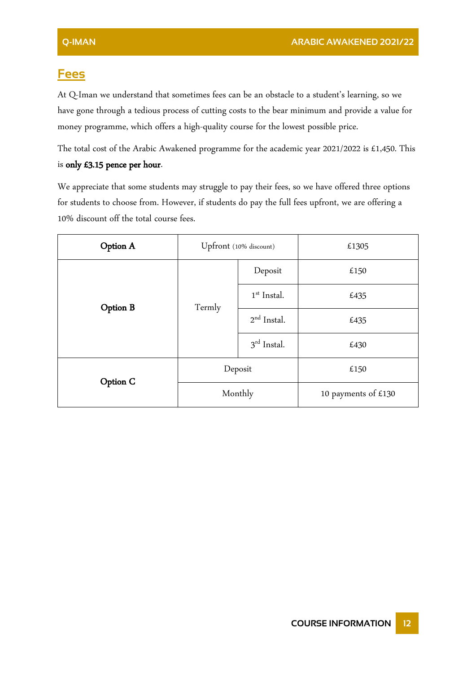#### <span id="page-12-0"></span>**Fees**

At Q-Iman we understand that sometimes fees can be an obstacle to a student's learning, so we have gone through a tedious process of cutting costs to the bear minimum and provide a value for money programme, which offers a high-quality course for the lowest possible price.

The total cost of the Arabic Awakened programme for the academic year 2021/2022 is £1,450. This is only £3.15 pence per hour.

We appreciate that some students may struggle to pay their fees, so we have offered three options for students to choose from. However, if students do pay the full fees upfront, we are offering a 10% discount off the total course fees.

| Option A | Upfront (10% discount) |               | £1305               |
|----------|------------------------|---------------|---------------------|
|          |                        | Deposit       | £150                |
| Option B | Termly                 | $1st$ Instal. | £435                |
|          |                        | $2nd$ Instal. | £435                |
|          |                        | $3rd$ Instal. | £430                |
| Option C | Deposit                |               | £150                |
|          | Monthly                |               | 10 payments of £130 |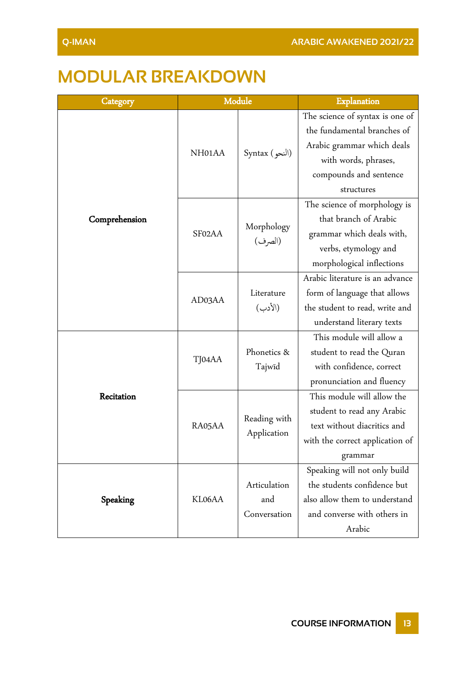# <span id="page-13-0"></span>**MODULAR BREAKDOWN**

| Category      | Module              |                             | Explanation                     |
|---------------|---------------------|-----------------------------|---------------------------------|
|               |                     |                             | The science of syntax is one of |
|               |                     |                             | the fundamental branches of     |
|               | NH <sub>01</sub> AA |                             | Arabic grammar which deals      |
|               |                     | Syntax (النحو)              | with words, phrases,            |
|               |                     |                             | compounds and sentence          |
|               |                     |                             | structures                      |
|               |                     |                             | The science of morphology is    |
| Comprehension |                     |                             | that branch of Arabic           |
|               | SF02AA              | Morphology<br>(الصرف)       | grammar which deals with,       |
|               |                     |                             | verbs, etymology and            |
|               |                     |                             | morphological inflections       |
|               |                     |                             | Arabic literature is an advance |
|               |                     | Literature                  | form of language that allows    |
|               | AD03AA              | (الأدب)                     | the student to read, write and  |
|               |                     |                             | understand literary texts       |
|               | TJ04AA              |                             | This module will allow a        |
|               |                     | Phonetics &<br>Tajwīd       | student to read the Quran       |
|               |                     |                             | with confidence, correct        |
|               |                     |                             | pronunciation and fluency       |
| Recitation    |                     |                             | This module will allow the      |
|               |                     | Reading with<br>Application | student to read any Arabic      |
|               | RA05AA              |                             | text without diacritics and     |
|               |                     |                             | with the correct application of |
|               |                     |                             | grammar                         |
| Speaking      |                     |                             | Speaking will not only build    |
|               |                     | Articulation                | the students confidence but     |
|               | KL06AA              | and                         | also allow them to understand   |
|               |                     | Conversation                | and converse with others in     |
|               |                     |                             | Arabic                          |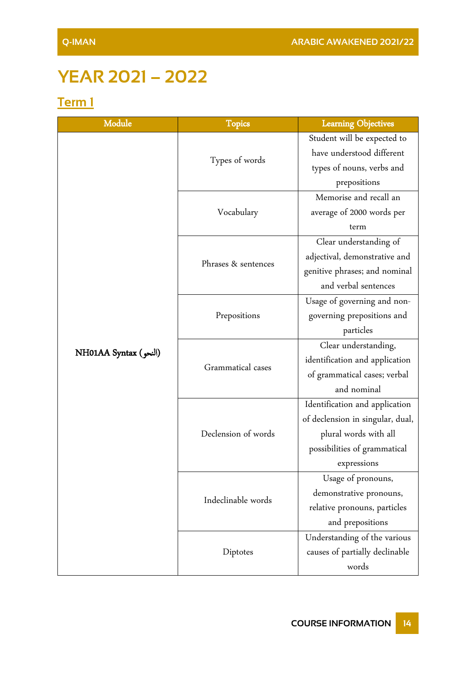# <span id="page-14-0"></span>**YEAR 2021 – 2022**

## <span id="page-14-1"></span>**Term 1**

| Module                | <b>Topics</b>       | <b>Learning Objectives</b>       |
|-----------------------|---------------------|----------------------------------|
|                       |                     | Student will be expected to      |
|                       |                     | have understood different        |
|                       | Types of words      | types of nouns, verbs and        |
|                       |                     | prepositions                     |
|                       | Vocabulary          | Memorise and recall an           |
|                       |                     | average of 2000 words per        |
|                       |                     | term                             |
|                       |                     | Clear understanding of           |
|                       | Phrases & sentences | adjectival, demonstrative and    |
|                       |                     | genitive phrases; and nominal    |
|                       |                     | and verbal sentences             |
|                       |                     | Usage of governing and non-      |
|                       | Prepositions        | governing prepositions and       |
|                       |                     | particles                        |
| NH01AA Syntax (النحو) | Grammatical cases   | Clear understanding,             |
|                       |                     | identification and application   |
|                       |                     | of grammatical cases; verbal     |
|                       |                     | and nominal                      |
|                       |                     | Identification and application   |
|                       | Declension of words | of declension in singular, dual, |
|                       |                     | plural words with all            |
|                       |                     | possibilities of grammatical     |
|                       |                     | expressions                      |
|                       |                     | Usage of pronouns,               |
|                       | Indeclinable words  | demonstrative pronouns,          |
|                       |                     | relative pronouns, particles     |
|                       |                     | and prepositions                 |
|                       |                     | Understanding of the various     |
|                       | Diptotes            | causes of partially declinable   |
|                       |                     | words                            |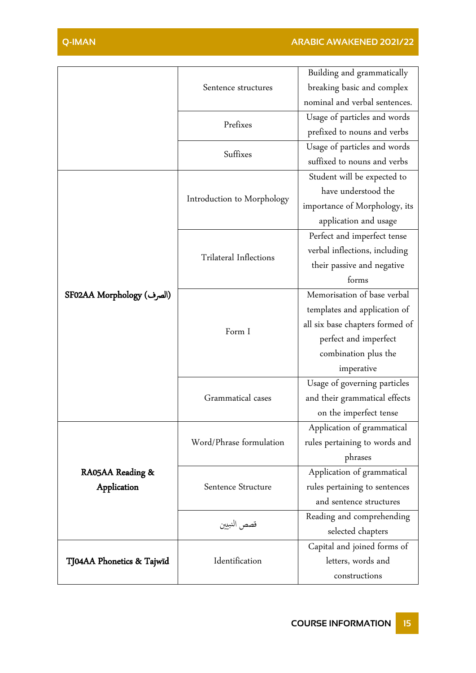|                           |                               | Building and grammatically      |
|---------------------------|-------------------------------|---------------------------------|
|                           | Sentence structures           | breaking basic and complex      |
|                           |                               | nominal and verbal sentences.   |
|                           | Prefixes                      | Usage of particles and words    |
|                           |                               | prefixed to nouns and verbs     |
|                           | Suffixes                      | Usage of particles and words    |
|                           |                               | suffixed to nouns and verbs     |
|                           |                               | Student will be expected to     |
|                           |                               | have understood the             |
|                           | Introduction to Morphology    | importance of Morphology, its   |
|                           |                               | application and usage           |
|                           |                               | Perfect and imperfect tense     |
|                           |                               | verbal inflections, including   |
|                           | <b>Trilateral Inflections</b> | their passive and negative      |
|                           |                               | forms                           |
| SF02AA Morphology (الصرف) | Form I                        | Memorisation of base verbal     |
|                           |                               | templates and application of    |
|                           |                               | all six base chapters formed of |
|                           |                               | perfect and imperfect           |
|                           |                               | combination plus the            |
|                           |                               | imperative                      |
|                           |                               | Usage of governing particles    |
|                           | Grammatical cases             | and their grammatical effects   |
|                           |                               | on the imperfect tense          |
|                           |                               | Application of grammatical      |
|                           | Word/Phrase formulation       | rules pertaining to words and   |
|                           |                               | phrases                         |
| RA05AA Reading &          |                               | Application of grammatical      |
| Application               | Sentence Structure            | rules pertaining to sentences   |
|                           |                               | and sentence structures         |
|                           |                               | Reading and comprehending       |
|                           | قصص النبيين                   | selected chapters               |
| TJ04AA Phonetics & Tajwīd |                               | Capital and joined forms of     |
|                           | Identification                | letters, words and              |
|                           |                               | constructions                   |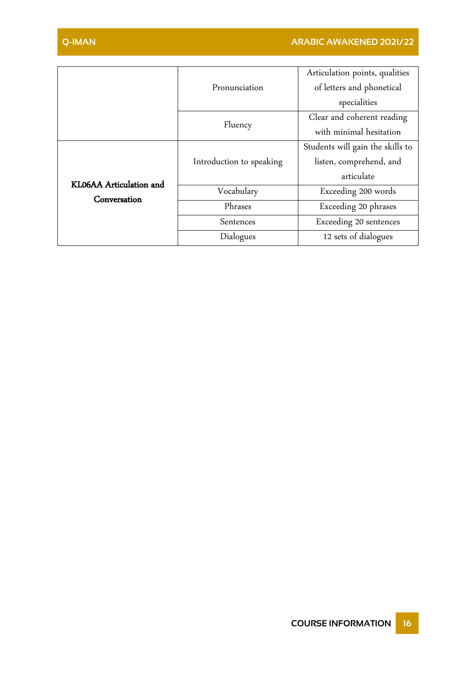|                                         |                          | Articulation points, qualities   |
|-----------------------------------------|--------------------------|----------------------------------|
|                                         | Pronunciation            | of letters and phonetical        |
|                                         |                          | specialities                     |
|                                         | Fluency                  | Clear and coherent reading       |
|                                         |                          | with minimal hesitation          |
| KL06AA Articulation and<br>Conversation |                          | Students will gain the skills to |
|                                         | Introduction to speaking | listen, comprehend, and          |
|                                         |                          | articulate                       |
|                                         | Vocabulary               | Exceeding 200 words              |
|                                         | Phrases                  | Exceeding 20 phrases             |
|                                         | Sentences                | Exceeding 20 sentences           |
|                                         | Dialogues                | 12 sets of dialogues             |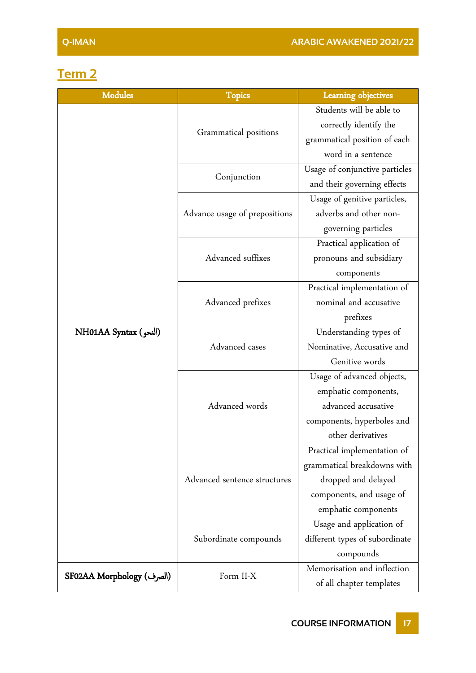## <span id="page-17-0"></span>**Term 2**

| <b>Modules</b>            | <b>Topics</b>                 | <b>Learning objectives</b>     |
|---------------------------|-------------------------------|--------------------------------|
|                           | Grammatical positions         | Students will be able to       |
|                           |                               | correctly identify the         |
|                           |                               | grammatical position of each   |
|                           |                               | word in a sentence             |
|                           | Conjunction                   | Usage of conjunctive particles |
|                           |                               | and their governing effects    |
|                           | Advance usage of prepositions | Usage of genitive particles,   |
|                           |                               | adverbs and other non-         |
|                           |                               | governing particles            |
|                           |                               | Practical application of       |
|                           | Advanced suffixes             | pronouns and subsidiary        |
|                           |                               | components                     |
|                           | Advanced prefixes             | Practical implementation of    |
|                           |                               | nominal and accusative         |
|                           |                               | prefixes                       |
| NH01AA Syntax (النحو)     | Advanced cases                | Understanding types of         |
|                           |                               | Nominative, Accusative and     |
|                           |                               | Genitive words                 |
|                           |                               | Usage of advanced objects,     |
|                           |                               | emphatic components,           |
|                           | Advanced words                | advanced accusative            |
|                           |                               | components, hyperboles and     |
|                           |                               | other derivatives              |
|                           | Advanced sentence structures  | Practical implementation of    |
|                           |                               | grammatical breakdowns with    |
|                           |                               | dropped and delayed            |
|                           |                               | components, and usage of       |
|                           |                               | emphatic components            |
|                           | Subordinate compounds         | Usage and application of       |
|                           |                               | different types of subordinate |
|                           |                               | compounds                      |
| SF02AA Morphology (الصرف) | Form II-X                     | Memorisation and inflection    |
|                           |                               | of all chapter templates       |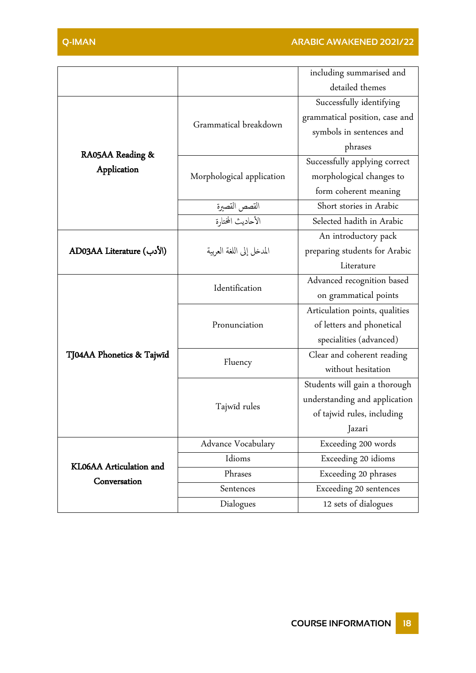|                                         |                           | including summarised and       |
|-----------------------------------------|---------------------------|--------------------------------|
|                                         |                           | detailed themes                |
|                                         | Grammatical breakdown     | Successfully identifying       |
|                                         |                           | grammatical position, case and |
|                                         |                           | symbols in sentences and       |
|                                         |                           | phrases                        |
| RA05AA Reading &                        | Morphological application | Successfully applying correct  |
| Application                             |                           | morphological changes to       |
|                                         |                           | form coherent meaning          |
|                                         | القصص القصيرة             | Short stories in Arabic        |
|                                         | الأحاديث المختارة         | Selected hadith in Arabic      |
|                                         |                           | An introductory pack           |
| AD03AA Literature (الأدب)               | المدخل إلى اللغة العربية  | preparing students for Arabic  |
|                                         |                           | Literature                     |
|                                         | Identification            | Advanced recognition based     |
|                                         |                           | on grammatical points          |
|                                         |                           | Articulation points, qualities |
|                                         | Pronunciation             | of letters and phonetical      |
|                                         |                           | specialities (advanced)        |
| TJ04AA Phonetics & Tajwīd               | Fluency                   | Clear and coherent reading     |
|                                         |                           | without hesitation             |
|                                         |                           | Students will gain a thorough  |
|                                         | Tajwīd rules              | understanding and application  |
|                                         |                           | of tajwid rules, including     |
|                                         |                           | Jazari                         |
| KL06AA Articulation and<br>Conversation | Advance Vocabulary        | Exceeding 200 words            |
|                                         | Idioms                    | Exceeding 20 idioms            |
|                                         | Phrases                   | Exceeding 20 phrases           |
|                                         | Sentences                 | Exceeding 20 sentences         |
|                                         | Dialogues                 | 12 sets of dialogues           |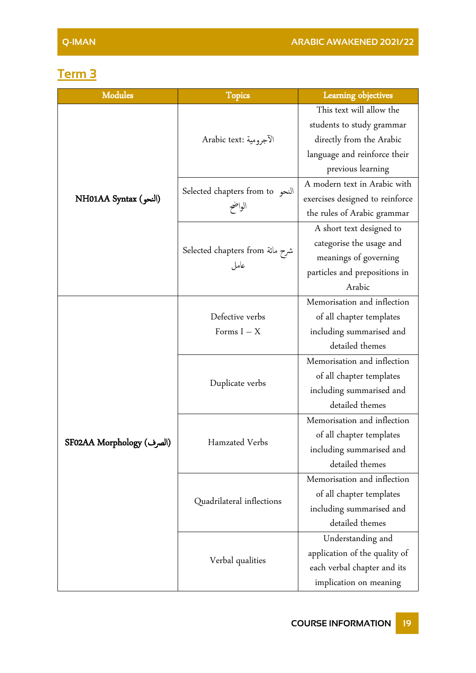## <span id="page-19-0"></span>**Term 3**

| Modules                   | <b>Topics</b>                       | Learning objectives             |
|---------------------------|-------------------------------------|---------------------------------|
|                           | الآجرومية :Arabic text              | This text will allow the        |
|                           |                                     | students to study grammar       |
|                           |                                     | directly from the Arabic        |
|                           |                                     | language and reinforce their    |
|                           |                                     | previous learning               |
|                           | Selected chapters from to<br>الواضح | A modern text in Arabic with    |
| NH01AA Syntax (النحو)     |                                     | exercises designed to reinforce |
|                           |                                     | the rules of Arabic grammar     |
|                           |                                     | A short text designed to        |
|                           |                                     | categorise the usage and        |
|                           | شرح مائة Selected chapters from     | meanings of governing           |
|                           | عامل                                | particles and prepositions in   |
|                           |                                     | Arabic                          |
|                           |                                     | Memorisation and inflection     |
|                           | Defective verbs                     | of all chapter templates        |
|                           | Forms $I - X$                       | including summarised and        |
|                           |                                     | detailed themes                 |
|                           |                                     | Memorisation and inflection     |
|                           | Duplicate verbs                     | of all chapter templates        |
|                           |                                     | including summarised and        |
|                           |                                     | detailed themes                 |
|                           | Hamzated Verbs                      | Memorisation and inflection     |
|                           |                                     | of all chapter templates        |
| SF02AA Morphology (الصرف) |                                     | including summarised and        |
|                           |                                     | detailed themes                 |
|                           |                                     | Memorisation and inflection     |
|                           | Quadrilateral inflections           | of all chapter templates        |
|                           |                                     | including summarised and        |
|                           |                                     | detailed themes                 |
|                           | Verbal qualities                    | Understanding and               |
|                           |                                     | application of the quality of   |
|                           |                                     | each verbal chapter and its     |
|                           |                                     | implication on meaning          |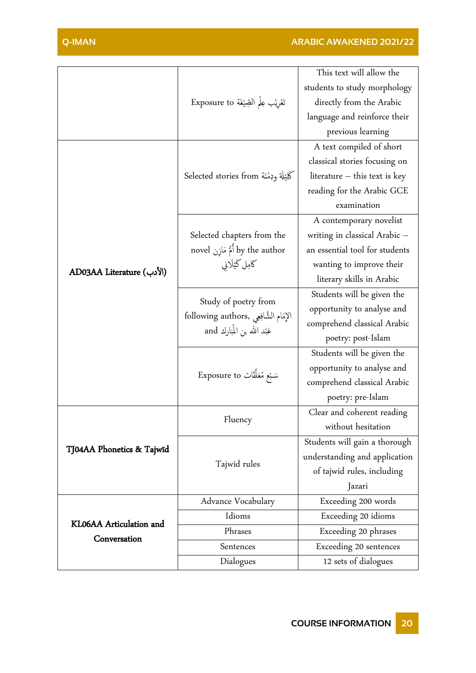|                                         | تَعْرِيْب عِلْمِ الصِّيْغَة Exposure to                                                       | This text will allow the        |
|-----------------------------------------|-----------------------------------------------------------------------------------------------|---------------------------------|
|                                         |                                                                                               | students to study morphology    |
|                                         |                                                                                               | directly from the Arabic        |
|                                         |                                                                                               | language and reinforce their    |
|                                         |                                                                                               | previous learning               |
|                                         | كَلِيْلَة وَدِمْنَة Selected stories from                                                     | A text compiled of short        |
|                                         |                                                                                               | classical stories focusing on   |
|                                         |                                                                                               | literature $-$ this text is key |
|                                         |                                                                                               | reading for the Arabic GCE      |
|                                         |                                                                                               | examination                     |
|                                         |                                                                                               | A contemporary novelist         |
|                                         | Selected chapters from the                                                                    | writing in classical Arabic -   |
|                                         | novel أُمُّ مَازِن by the author                                                              | an essential tool for students  |
|                                         | كامِل كَيْلَاني                                                                               | wanting to improve their        |
| AD03AA Literature (الأدب)               |                                                                                               | literary skills in Arabic       |
|                                         | Study of poetry from<br>الإمَام الشَّافِعِي ,following authors<br>عَبْد الله بن المُبَارك and | Students will be given the      |
|                                         |                                                                                               | opportunity to analyse and      |
|                                         |                                                                                               | comprehend classical Arabic     |
|                                         |                                                                                               | poetry: post-Islam              |
|                                         | سَبْع مُعَلَّقَات Exposure to                                                                 | Students will be given the      |
|                                         |                                                                                               | opportunity to analyse and      |
|                                         |                                                                                               | comprehend classical Arabic     |
|                                         |                                                                                               | poetry: pre-Islam               |
|                                         | Fluency                                                                                       | Clear and coherent reading      |
|                                         |                                                                                               | without hesitation              |
| TJ04AA Phonetics & Tajwīd               |                                                                                               | Students will gain a thorough   |
|                                         | Tajwīd rules                                                                                  | understanding and application   |
|                                         |                                                                                               | of tajwid rules, including      |
|                                         |                                                                                               | Jazari                          |
| KL06AA Articulation and<br>Conversation | Advance Vocabulary                                                                            | Exceeding 200 words             |
|                                         | Idioms                                                                                        | Exceeding 20 idioms             |
|                                         | Phrases                                                                                       | Exceeding 20 phrases            |
|                                         | Sentences                                                                                     | Exceeding 20 sentences          |
|                                         | Dialogues                                                                                     | 12 sets of dialogues            |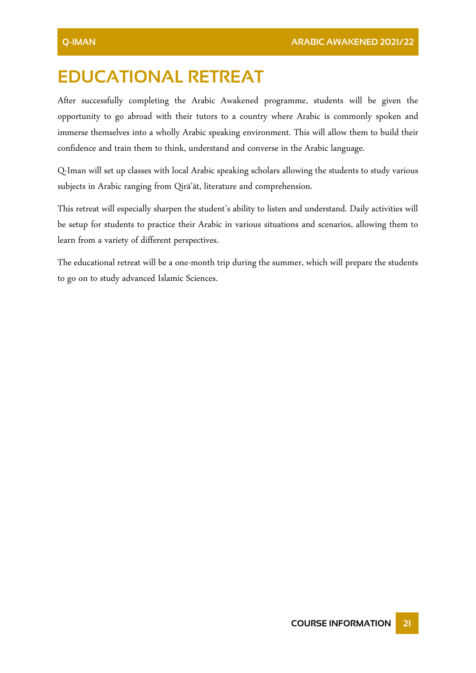# <span id="page-21-0"></span>**EDUCATIONAL RETREAT**

After successfully completing the Arabic Awakened programme, students will be given the opportunity to go abroad with their tutors to a country where Arabic is commonly spoken and immerse themselves into a wholly Arabic speaking environment. This will allow them to build their confidence and train them to think, understand and converse in the Arabic language.

Q-Iman will set up classes with local Arabic speaking scholars allowing the students to study various subjects in Arabic ranging from Qirā'āt, literature and comprehension.

This retreat will especially sharpen the student's ability to listen and understand. Daily activities will be setup for students to practice their Arabic in various situations and scenarios, allowing them to learn from a variety of different perspectives.

The educational retreat will be a one-month trip during the summer, which will prepare the students to go on to study advanced Islamic Sciences.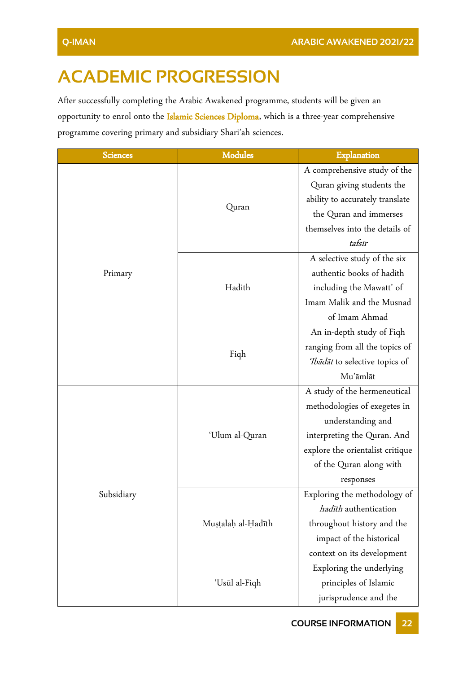# <span id="page-22-0"></span>**ACADEMIC PROGRESSION**

After successfully completing the Arabic Awakened programme, students will be given an opportunity to enrol onto the Islamic Sciences Diploma, which is a three-year comprehensive programme covering primary and subsidiary Shari'ah sciences.

| <b>Sciences</b> | <b>Modules</b>     | Explanation                      |
|-----------------|--------------------|----------------------------------|
|                 | Quran              | A comprehensive study of the     |
|                 |                    | Quran giving students the        |
|                 |                    | ability to accurately translate  |
|                 |                    | the Quran and immerses           |
|                 |                    | themselves into the details of   |
|                 |                    | tafsīr                           |
|                 |                    | A selective study of the six     |
| Primary         |                    | authentic books of hadith        |
|                 | Hadith             | including the Mawatt' of         |
|                 |                    | Imam Malik and the Musnad        |
|                 |                    | of Imam Ahmad                    |
|                 | Fiqh               | An in-depth study of Fiqh        |
|                 |                    | ranging from all the topics of   |
|                 |                    | Tbādāt to selective topics of    |
|                 |                    | Mu'āmlāt                         |
|                 | 'Ulum al-Quran     | A study of the hermeneutical     |
|                 |                    | methodologies of exegetes in     |
|                 |                    | understanding and                |
|                 |                    | interpreting the Quran. And      |
|                 |                    | explore the orientalist critique |
|                 |                    | of the Quran along with          |
|                 |                    | responses                        |
| Subsidiary      |                    | Exploring the methodology of     |
|                 |                    | hadīth authentication            |
|                 | Mușțalah al-Hadīth | throughout history and the       |
|                 |                    | impact of the historical         |
|                 |                    | context on its development       |
|                 | 'Usūl al-Fiqh      | Exploring the underlying         |
|                 |                    | principles of Islamic            |
|                 |                    | jurisprudence and the            |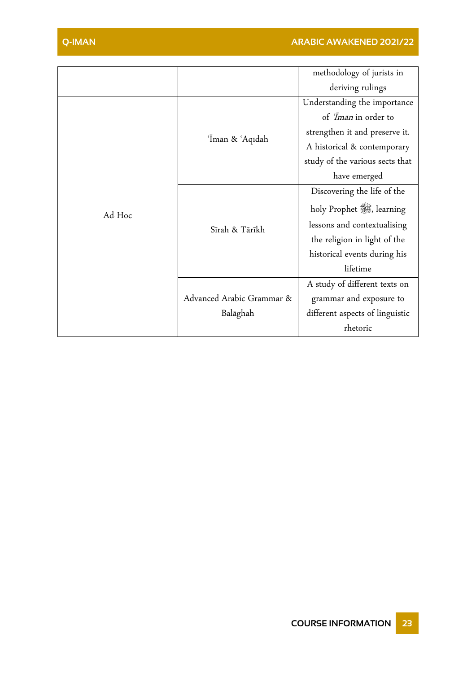|        |                           | methodology of jurists in       |
|--------|---------------------------|---------------------------------|
|        |                           | deriving rulings                |
|        | 'Īmān & 'Aqīdah           | Understanding the importance    |
|        |                           | of <i>Iman</i> in order to      |
|        |                           | strengthen it and preserve it.  |
|        |                           | A historical & contemporary     |
|        |                           | study of the various sects that |
| Ad-Hoc |                           | have emerged                    |
|        |                           | Discovering the life of the     |
|        | Sīrah & Tārīkh            | holy Prophet starning           |
|        |                           | lessons and contextualising     |
|        |                           | the religion in light of the    |
|        |                           | historical events during his    |
|        |                           | lifetime                        |
|        |                           | A study of different texts on   |
|        | Advanced Arabic Grammar & | grammar and exposure to         |
|        | Balāghah                  | different aspects of linguistic |
|        |                           | rhetoric                        |